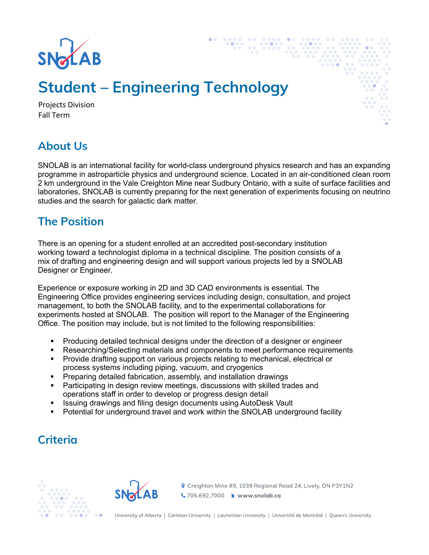

# **Student – Engineering Technology**

Projects Division Fall Term

#### **About Us**

SNOLAB is an international facility for world-class underground physics research and has an expanding programme in astroparticle physics and underground science. Located in an air-conditioned clean room 2 km underground in the Vale Creighton Mine near Sudbury Ontario, with a suite of surface facilities and laboratories, SNOLAB is currently preparing for the next generation of experiments focusing on neutrino studies and the search for galactic dark matter.

#### **The Position**

There is an opening for a student enrolled at an accredited post-secondary institution working toward a technologist diploma in a technical discipline. The position consists of a mix of drafting and engineering design and will support various projects led by a SNOLAB Designer or Engineer.

Experience or exposure working in 2D and 3D CAD environments is essential. The Engineering Office provides engineering services including design, consultation, and project management, to both the SNOLAB facility, and to the experimental collaborations for experiments hosted at SNOLAB. The position will report to the Manager of the Engineering Office. The position may include, but is not limited to the following responsibilities:

- § Producing detailed technical designs under the direction of a designer or engineer
- Researching/Selecting materials and components to meet performance requirements
- § Provide drafting support on various projects relating to mechanical, electrical or process systems including piping, vacuum, and cryogenics
- § Preparing detailed fabrication, assembly, and installation drawings
- Participating in design review meetings, discussions with skilled trades and operations staff in order to develop or progress design detail
- § Issuing drawings and filing design documents using AutoDesk Vault
- Potential for underground travel and work within the SNOLAB underground facility

# **Criteria**





**♦** Creighton Mine #9, 1039 Regional Road 24, Lively, ON P3Y1N2 ↓705.692.7000 → www.snolab.ca

University of Alberta | Carleton University | Laurentian University | Université de Montréal | Queen's University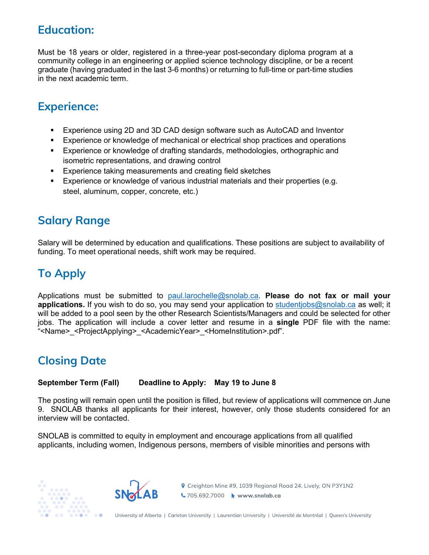#### **Education:**

Must be 18 years or older, registered in a three-year post-secondary diploma program at a community college in an engineering or applied science technology discipline, or be a recent graduate (having graduated in the last 3-6 months) or returning to full-time or part-time studies in the next academic term.

# **Experience:**

- Experience using 2D and 3D CAD design software such as AutoCAD and Inventor
- § Experience or knowledge of mechanical or electrical shop practices and operations
- § Experience or knowledge of drafting standards, methodologies, orthographic and isometric representations, and drawing control
- Experience taking measurements and creating field sketches
- Experience or knowledge of various industrial materials and their properties (e.g. steel, aluminum, copper, concrete, etc.)

### **Salary Range**

Salary will be determined by education and qualifications. These positions are subject to availability of funding. To meet operational needs, shift work may be required.

# **To Apply**

Applications must be submitted to paul.larochelle@snolab.ca. **Please do not fax or mail your applications.** If you wish to do so, you may send your application to studentjobs@snolab.ca as well; it will be added to a pool seen by the other Research Scientists/Managers and could be selected for other jobs. The application will include a cover letter and resume in a **single** PDF file with the name: "<Name>\_<ProjectApplying>\_<AcademicYear>\_<HomeInstitution>.pdf".

# **Closing Date**

#### **September Term (Fall) Deadline to Apply: May 19 to June 8**

The posting will remain open until the position is filled, but review of applications will commence on June 9. SNOLAB thanks all applicants for their interest, however, only those students considered for an interview will be contacted.

SNOLAB is committed to equity in employment and encourage applications from all qualified applicants, including women, Indigenous persons, members of visible minorities and persons with





**የ** Creighton Mine #9, 1039 Regional Road 24, Lively, ON P3Y1N2 ↓705.692.7000 → www.snolab.ca

University of Alberta | Carleton University | Laurentian University | Université de Montréal | Queen's University